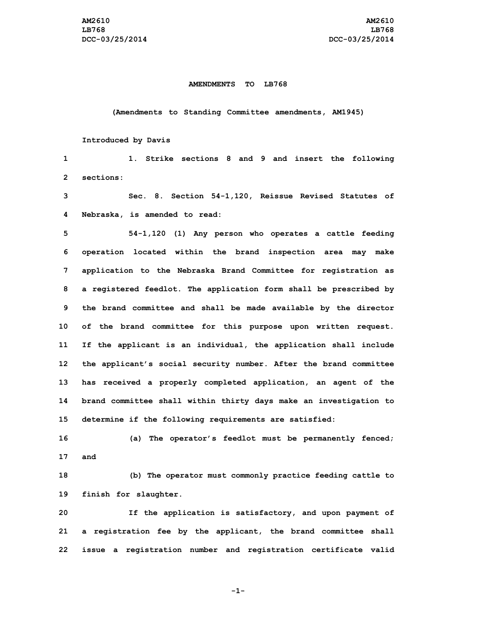#### **AMENDMENTS TO LB768**

**(Amendments to Standing Committee amendments, AM1945)**

## **Introduced by Davis**

**1 1. Strike sections 8 and 9 and insert the following 2 sections:**

**3 Sec. 8. Section 54-1,120, Reissue Revised Statutes of 4 Nebraska, is amended to read:**

 **54-1,120 (1) Any person who operates <sup>a</sup> cattle feeding operation located within the brand inspection area may make application to the Nebraska Brand Committee for registration as <sup>a</sup> registered feedlot. The application form shall be prescribed by the brand committee and shall be made available by the director of the brand committee for this purpose upon written request. If the applicant is an individual, the application shall include the applicant's social security number. After the brand committee has received <sup>a</sup> properly completed application, an agent of the brand committee shall within thirty days make an investigation to determine if the following requirements are satisfied:**

**16 (a) The operator's feedlot must be permanently fenced; 17 and**

**18 (b) The operator must commonly practice feeding cattle to 19 finish for slaughter.**

**20 If the application is satisfactory, and upon payment of 21 <sup>a</sup> registration fee by the applicant, the brand committee shall 22 issue <sup>a</sup> registration number and registration certificate valid**

**-1-**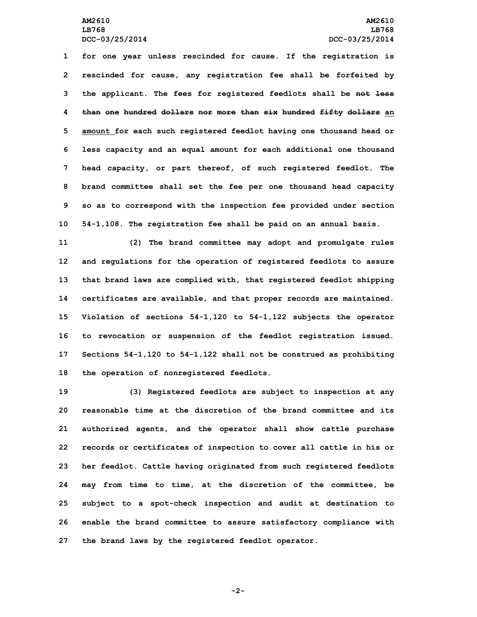### **AM2610 AM2610 LB768 LB768 DCC-03/25/2014 DCC-03/25/2014**

 **for one year unless rescinded for cause. If the registration is rescinded for cause, any registration fee shall be forfeited by the applicant. The fees for registered feedlots shall be not less than one hundred dollars nor more than six hundred fifty dollars an amount for each such registered feedlot having one thousand head or less capacity and an equal amount for each additional one thousand head capacity, or part thereof, of such registered feedlot. The brand committee shall set the fee per one thousand head capacity so as to correspond with the inspection fee provided under section 54-1,108. The registration fee shall be paid on an annual basis.**

 **(2) The brand committee may adopt and promulgate rules and regulations for the operation of registered feedlots to assure that brand laws are complied with, that registered feedlot shipping certificates are available, and that proper records are maintained. Violation of sections 54-1,120 to 54-1,122 subjects the operator to revocation or suspension of the feedlot registration issued. Sections 54-1,120 to 54-1,122 shall not be construed as prohibiting the operation of nonregistered feedlots.**

 **(3) Registered feedlots are subject to inspection at any reasonable time at the discretion of the brand committee and its authorized agents, and the operator shall show cattle purchase records or certificates of inspection to cover all cattle in his or her feedlot. Cattle having originated from such registered feedlots may from time to time, at the discretion of the committee, be subject to <sup>a</sup> spot-check inspection and audit at destination to enable the brand committee to assure satisfactory compliance with the brand laws by the registered feedlot operator.**

**-2-**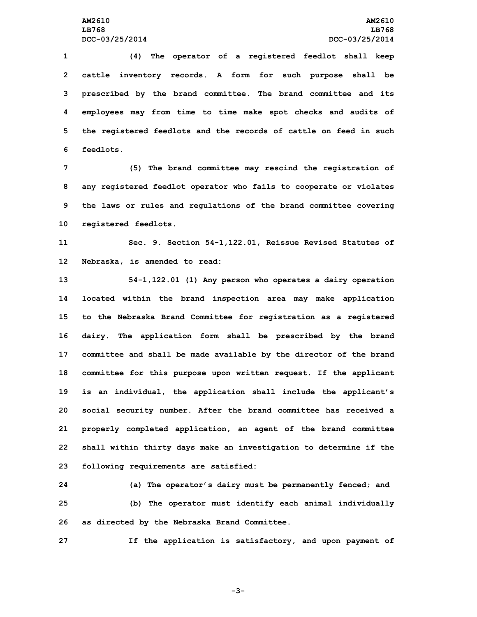**(4) The operator of <sup>a</sup> registered feedlot shall keep cattle inventory records. <sup>A</sup> form for such purpose shall be prescribed by the brand committee. The brand committee and its employees may from time to time make spot checks and audits of the registered feedlots and the records of cattle on feed in such feedlots.**

 **(5) The brand committee may rescind the registration of any registered feedlot operator who fails to cooperate or violates the laws or rules and regulations of the brand committee covering registered feedlots.**

**11 Sec. 9. Section 54-1,122.01, Reissue Revised Statutes of 12 Nebraska, is amended to read:**

 **54-1,122.01 (1) Any person who operates <sup>a</sup> dairy operation located within the brand inspection area may make application to the Nebraska Brand Committee for registration as <sup>a</sup> registered dairy. The application form shall be prescribed by the brand committee and shall be made available by the director of the brand committee for this purpose upon written request. If the applicant is an individual, the application shall include the applicant's social security number. After the brand committee has received <sup>a</sup> properly completed application, an agent of the brand committee shall within thirty days make an investigation to determine if the following requirements are satisfied:**

**24 (a) The operator's dairy must be permanently fenced; and 25 (b) The operator must identify each animal individually 26 as directed by the Nebraska Brand Committee.**

**27 If the application is satisfactory, and upon payment of**

**-3-**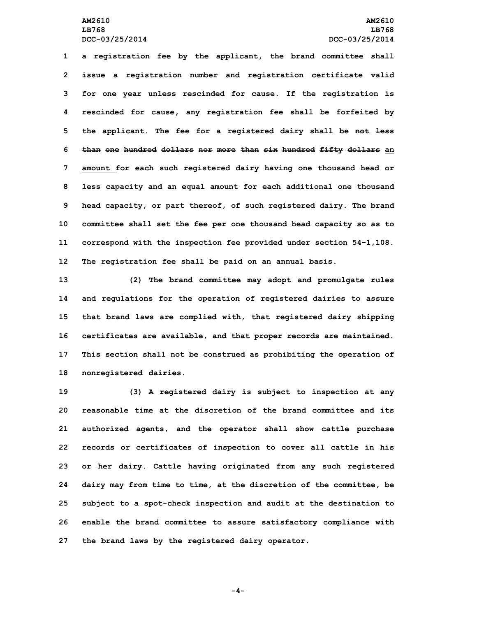# **AM2610 AM2610 LB768 LB768 DCC-03/25/2014 DCC-03/25/2014**

 **<sup>a</sup> registration fee by the applicant, the brand committee shall issue <sup>a</sup> registration number and registration certificate valid for one year unless rescinded for cause. If the registration is rescinded for cause, any registration fee shall be forfeited by the applicant. The fee for <sup>a</sup> registered dairy shall be not less than one hundred dollars nor more than six hundred fifty dollars an amount for each such registered dairy having one thousand head or less capacity and an equal amount for each additional one thousand head capacity, or part thereof, of such registered dairy. The brand committee shall set the fee per one thousand head capacity so as to correspond with the inspection fee provided under section 54-1,108. The registration fee shall be paid on an annual basis.**

 **(2) The brand committee may adopt and promulgate rules and regulations for the operation of registered dairies to assure that brand laws are complied with, that registered dairy shipping certificates are available, and that proper records are maintained. This section shall not be construed as prohibiting the operation of nonregistered dairies.**

 **(3) <sup>A</sup> registered dairy is subject to inspection at any reasonable time at the discretion of the brand committee and its authorized agents, and the operator shall show cattle purchase records or certificates of inspection to cover all cattle in his or her dairy. Cattle having originated from any such registered dairy may from time to time, at the discretion of the committee, be subject to <sup>a</sup> spot-check inspection and audit at the destination to enable the brand committee to assure satisfactory compliance with the brand laws by the registered dairy operator.**

**-4-**